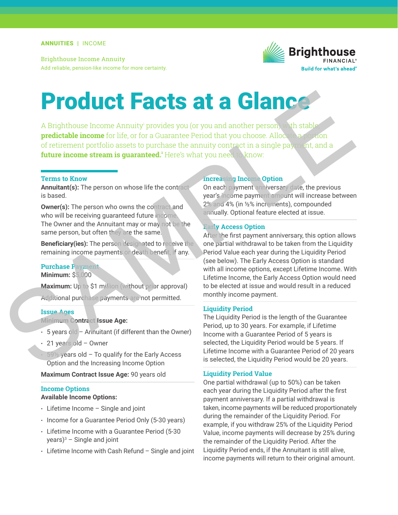Brighthouse Income Annuity Add reliable, pension-like income for more certainty.



# Product Facts at a Glance

A Brighthouse Income Annuity<sup>,</sup> provides you (or you and another person) with stable; **predictable income** for life, or for a Guarantee Period that you choose. Allocate a portion of retirement portfolio assets to purchase the annuity contract in a single payment, and a **future income stream is quaranteed.**<sup>2</sup> Here's what you need to know: Facts at a member of this what you all another person, whistable predictable income for life, or for a Guarantee Period that you choose. Alloc, and a future income stream is guaranteed. Here's what you need to know a futur

#### **Terms to Know**

**Annuitant(s):** The person on whose life the contract is based.

**Owner(s):** The person who owns the contract and who will be receiving guaranteed future income. The Owner and the Annuitant may or may not be the same person, but often they are the same.

**Beneficiary(ies):** The person designated to receive the remaining income payments or death beneft, if any.

#### **Purchase Payment**

**Minimum:** \$5,000

**Maximum:** Up to \$1 million (without prior approval) Additional purchase payments are not permitted.

### **Issue Ages**

**Minimum Contract Issue Age:**

- $\cdot$  5 years old Annuitant (if different than the Owner)
- 21 years old Owner
- $59\%$  years old To qualify for the Early Access Option and the Increasing Income Option

**Maximum Contract Issue Age:** 90 years old

#### **Income Options**

## **Available Income Options:**

- Lifetime Income Single and joint
- Income for a Guarantee Period Only (5-30 years)
- Lifetime Income with a Guarantee Period (5-30 years)3 – Single and joint
- Lifetime Income with Cash Refund Single and joint

# **Increasing Income Option**

On each payment anniversary date, the previous year's income payment amount will increase between 2% and 4% (in ½% increments), compounded annually. Optional feature elected at issue.

#### **Early Access Option**

After the first payment anniversary, this option allows one partial withdrawal to be taken from the Liquidity Period Value each year during the Liquidity Period (see below). The Early Access Option is standard with all income options, except Lifetime Income. With Lifetime Income, the Early Access Option would need to be elected at issue and would result in a reduced monthly income payment.

#### **Liquidity Period**

The Liquidity Period is the length of the Guarantee Period, up to 30 years. For example, if Lifetime Income with a Guarantee Period of 5 years is selected, the Liquidity Period would be 5 years. If Lifetime Income with a Guarantee Period of 20 years is selected, the Liquidity Period would be 20 years.

#### **Liquidity Period Value**

One partial withdrawal (up to 50%) can be taken each year during the Liquidity Period after the frst payment anniversary. If a partial withdrawal is taken, income payments will be reduced proportionately during the remainder of the Liquidity Period. For example, if you withdraw 25% of the Liquidity Period Value, income payments will decrease by 25% during the remainder of the Liquidity Period. After the Liquidity Period ends, if the Annuitant is still alive, income payments will return to their original amount.